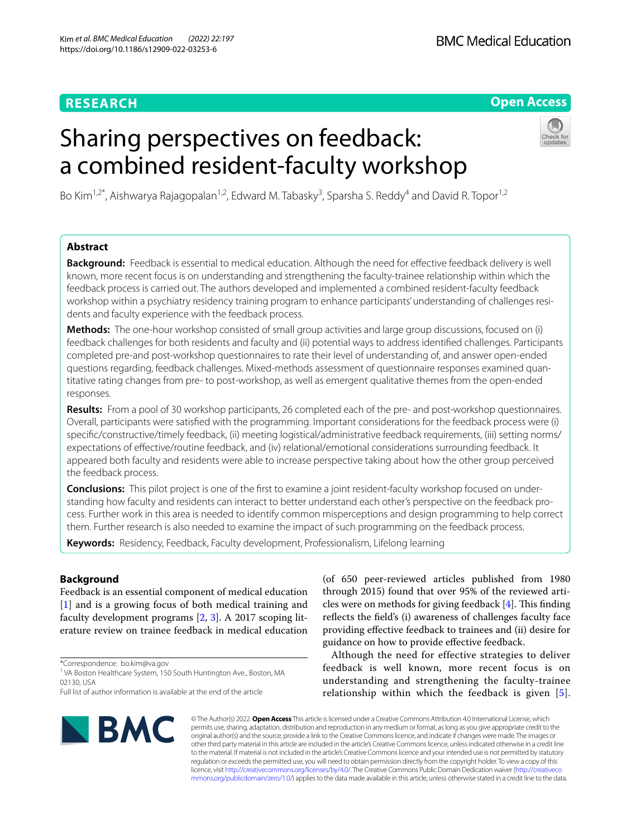# **RESEARCH**

**Open Access**

# Sharing perspectives on feedback: a combined resident-faculty workshop



Bo Kim<sup>1,2\*</sup>, Aishwarya Rajagopalan<sup>1,2</sup>, Edward M. Tabasky<sup>3</sup>, Sparsha S. Reddy<sup>4</sup> and David R. Topor<sup>1,2</sup>

# **Abstract**

**Background:** Feedback is essential to medical education. Although the need for effective feedback delivery is well known, more recent focus is on understanding and strengthening the faculty-trainee relationship within which the feedback process is carried out. The authors developed and implemented a combined resident-faculty feedback workshop within a psychiatry residency training program to enhance participants' understanding of challenges residents and faculty experience with the feedback process.

**Methods:** The one-hour workshop consisted of small group activities and large group discussions, focused on (i) feedback challenges for both residents and faculty and (ii) potential ways to address identifed challenges. Participants completed pre-and post-workshop questionnaires to rate their level of understanding of, and answer open-ended questions regarding, feedback challenges. Mixed-methods assessment of questionnaire responses examined quantitative rating changes from pre- to post-workshop, as well as emergent qualitative themes from the open-ended responses.

**Results:** From a pool of 30 workshop participants, 26 completed each of the pre- and post-workshop questionnaires. Overall, participants were satisfed with the programming. Important considerations for the feedback process were (i) specifc/constructive/timely feedback, (ii) meeting logistical/administrative feedback requirements, (iii) setting norms/ expectations of efective/routine feedback, and (iv) relational/emotional considerations surrounding feedback. It appeared both faculty and residents were able to increase perspective taking about how the other group perceived the feedback process.

**Conclusions:** This pilot project is one of the frst to examine a joint resident-faculty workshop focused on understanding how faculty and residents can interact to better understand each other's perspective on the feedback process. Further work in this area is needed to identify common misperceptions and design programming to help correct them. Further research is also needed to examine the impact of such programming on the feedback process.

**Keywords:** Residency, Feedback, Faculty development, Professionalism, Lifelong learning

# **Background**

Feedback is an essential component of medical education [[1\]](#page-7-0) and is a growing focus of both medical training and faculty development programs [[2](#page-7-1), [3\]](#page-7-2). A 2017 scoping literature review on trainee feedback in medical education

\*Correspondence: bo.kim@va.gov

providing efective feedback to trainees and (ii) desire for guidance on how to provide efective feedback. Although the need for effective strategies to deliver feedback is well known, more recent focus is on understanding and strengthening the faculty-trainee relationship within which the feedback is given [[5\]](#page-7-4).

(of 650 peer-reviewed articles published from 1980 through 2015) found that over 95% of the reviewed articles were on methods for giving feedback  $[4]$  $[4]$ . This finding refects the feld's (i) awareness of challenges faculty face



© The Author(s) 2022. **Open Access** This article is licensed under a Creative Commons Attribution 4.0 International License, which permits use, sharing, adaptation, distribution and reproduction in any medium or format, as long as you give appropriate credit to the original author(s) and the source, provide a link to the Creative Commons licence, and indicate if changes were made. The images or other third party material in this article are included in the article's Creative Commons licence, unless indicated otherwise in a credit line to the material. If material is not included in the article's Creative Commons licence and your intended use is not permitted by statutory regulation or exceeds the permitted use, you will need to obtain permission directly from the copyright holder. To view a copy of this licence, visit [http://creativecommons.org/licenses/by/4.0/.](http://creativecommons.org/licenses/by/4.0/) The Creative Commons Public Domain Dedication waiver ([http://creativeco](http://creativecommons.org/publicdomain/zero/1.0/) [mmons.org/publicdomain/zero/1.0/](http://creativecommons.org/publicdomain/zero/1.0/)) applies to the data made available in this article, unless otherwise stated in a credit line to the data.

<sup>&</sup>lt;sup>1</sup> VA Boston Healthcare System, 150 South Huntington Ave., Boston, MA 02130, USA

Full list of author information is available at the end of the article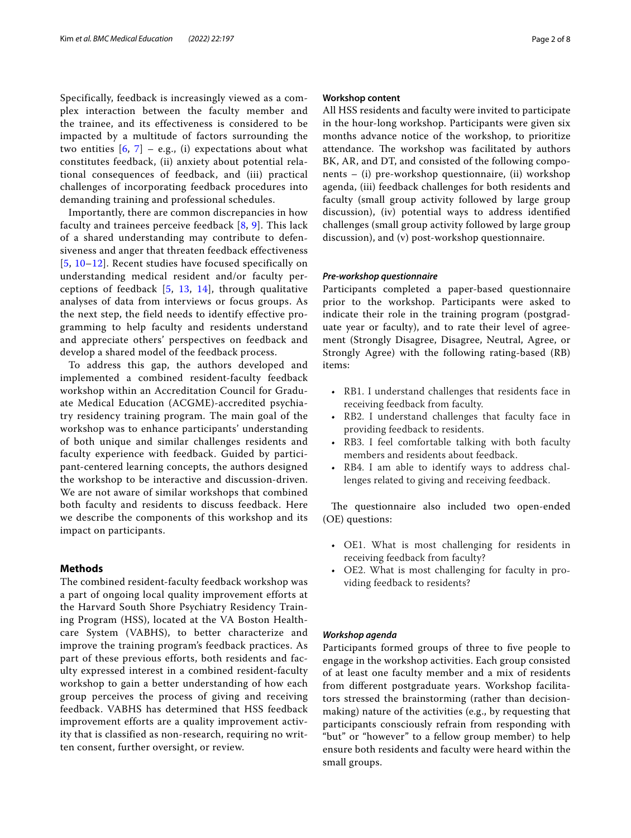Specifically, feedback is increasingly viewed as a complex interaction between the faculty member and the trainee, and its effectiveness is considered to be impacted by a multitude of factors surrounding the two entities  $[6, 7]$  $[6, 7]$  $[6, 7]$  – e.g., (i) expectations about what constitutes feedback, (ii) anxiety about potential relational consequences of feedback, and (iii) practical challenges of incorporating feedback procedures into demanding training and professional schedules.

Importantly, there are common discrepancies in how faculty and trainees perceive feedback  $[8, 9]$  $[8, 9]$  $[8, 9]$  $[8, 9]$ . This lack of a shared understanding may contribute to defensiveness and anger that threaten feedback effectiveness [[5](#page-7-4), [10–](#page-7-9)[12](#page-7-10)]. Recent studies have focused specifically on understanding medical resident and/or faculty perceptions of feedback [\[5,](#page-7-4) [13,](#page-7-11) [14](#page-7-12)], through qualitative analyses of data from interviews or focus groups. As the next step, the field needs to identify effective programming to help faculty and residents understand and appreciate others' perspectives on feedback and develop a shared model of the feedback process.

To address this gap, the authors developed and implemented a combined resident-faculty feedback workshop within an Accreditation Council for Graduate Medical Education (ACGME)-accredited psychiatry residency training program. The main goal of the workshop was to enhance participants' understanding of both unique and similar challenges residents and faculty experience with feedback. Guided by participant-centered learning concepts, the authors designed the workshop to be interactive and discussion-driven. We are not aware of similar workshops that combined both faculty and residents to discuss feedback. Here we describe the components of this workshop and its impact on participants.

#### **Methods**

The combined resident-faculty feedback workshop was a part of ongoing local quality improvement efforts at the Harvard South Shore Psychiatry Residency Training Program (HSS), located at the VA Boston Healthcare System (VABHS), to better characterize and improve the training program's feedback practices. As part of these previous efforts, both residents and faculty expressed interest in a combined resident-faculty workshop to gain a better understanding of how each group perceives the process of giving and receiving feedback. VABHS has determined that HSS feedback improvement efforts are a quality improvement activity that is classified as non-research, requiring no written consent, further oversight, or review.

## **Workshop content**

All HSS residents and faculty were invited to participate in the hour-long workshop. Participants were given six months advance notice of the workshop, to prioritize attendance. The workshop was facilitated by authors BK, AR, and DT, and consisted of the following components – (i) pre-workshop questionnaire, (ii) workshop agenda, (iii) feedback challenges for both residents and faculty (small group activity followed by large group discussion), (iv) potential ways to address identifed challenges (small group activity followed by large group discussion), and (v) post-workshop questionnaire.

# *Pre‑workshop questionnaire*

Participants completed a paper-based questionnaire prior to the workshop. Participants were asked to indicate their role in the training program (postgraduate year or faculty), and to rate their level of agreement (Strongly Disagree, Disagree, Neutral, Agree, or Strongly Agree) with the following rating-based (RB) items:

- RB1. I understand challenges that residents face in receiving feedback from faculty.
- RB2. I understand challenges that faculty face in providing feedback to residents.
- RB3. I feel comfortable talking with both faculty members and residents about feedback.
- RB4. I am able to identify ways to address challenges related to giving and receiving feedback.

The questionnaire also included two open-ended (OE) questions:

- OE1. What is most challenging for residents in receiving feedback from faculty?
- OE2. What is most challenging for faculty in providing feedback to residents?

#### *Workshop agenda*

Participants formed groups of three to five people to engage in the workshop activities. Each group consisted of at least one faculty member and a mix of residents from diferent postgraduate years. Workshop facilitators stressed the brainstorming (rather than decisionmaking) nature of the activities (e.g., by requesting that participants consciously refrain from responding with "but" or "however" to a fellow group member) to help ensure both residents and faculty were heard within the small groups.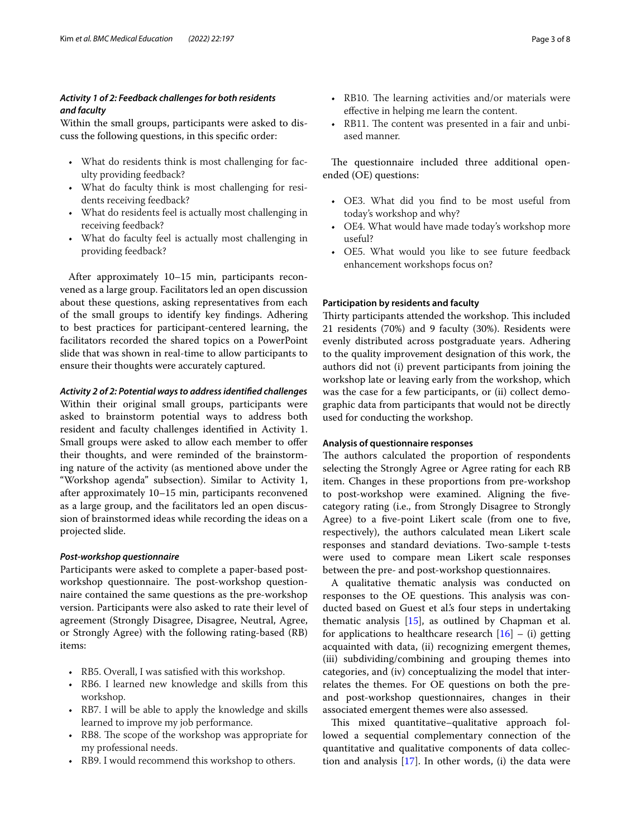# *Activity 1 of 2: Feedback challenges for both residents and faculty*

Within the small groups, participants were asked to discuss the following questions, in this specifc order:

- What do residents think is most challenging for faculty providing feedback?
- What do faculty think is most challenging for residents receiving feedback?
- What do residents feel is actually most challenging in receiving feedback?
- What do faculty feel is actually most challenging in providing feedback?

After approximately 10–15 min, participants reconvened as a large group. Facilitators led an open discussion about these questions, asking representatives from each of the small groups to identify key fndings. Adhering to best practices for participant-centered learning, the facilitators recorded the shared topics on a PowerPoint slide that was shown in real-time to allow participants to ensure their thoughts were accurately captured.

# *Activity 2 of 2: Potential ways to address identifed challenges*

Within their original small groups, participants were asked to brainstorm potential ways to address both resident and faculty challenges identifed in Activity 1. Small groups were asked to allow each member to offer their thoughts, and were reminded of the brainstorming nature of the activity (as mentioned above under the "Workshop agenda" subsection). Similar to Activity 1, after approximately 10–15 min, participants reconvened as a large group, and the facilitators led an open discussion of brainstormed ideas while recording the ideas on a projected slide.

#### *Post‑workshop questionnaire*

Participants were asked to complete a paper-based postworkshop questionnaire. The post-workshop questionnaire contained the same questions as the pre-workshop version. Participants were also asked to rate their level of agreement (Strongly Disagree, Disagree, Neutral, Agree, or Strongly Agree) with the following rating-based (RB) items:

- RB5. Overall, I was satisfed with this workshop.
- RB6. I learned new knowledge and skills from this workshop.
- RB7. I will be able to apply the knowledge and skills learned to improve my job performance.
- RB8. The scope of the workshop was appropriate for my professional needs.
- RB9. I would recommend this workshop to others.
- RB10. The learning activities and/or materials were efective in helping me learn the content.
- RB11. The content was presented in a fair and unbiased manner.

The questionnaire included three additional openended (OE) questions:

- OE3. What did you fnd to be most useful from today's workshop and why?
- OE4. What would have made today's workshop more useful?
- OE5. What would you like to see future feedback enhancement workshops focus on?

# **Participation by residents and faculty**

Thirty participants attended the workshop. This included 21 residents (70%) and 9 faculty (30%). Residents were evenly distributed across postgraduate years. Adhering to the quality improvement designation of this work, the authors did not (i) prevent participants from joining the workshop late or leaving early from the workshop, which was the case for a few participants, or (ii) collect demographic data from participants that would not be directly used for conducting the workshop.

#### **Analysis of questionnaire responses**

The authors calculated the proportion of respondents selecting the Strongly Agree or Agree rating for each RB item. Changes in these proportions from pre-workshop to post-workshop were examined. Aligning the fvecategory rating (i.e., from Strongly Disagree to Strongly Agree) to a five-point Likert scale (from one to five, respectively), the authors calculated mean Likert scale responses and standard deviations. Two-sample t-tests were used to compare mean Likert scale responses between the pre- and post-workshop questionnaires.

A qualitative thematic analysis was conducted on responses to the OE questions. This analysis was conducted based on Guest et al.'s four steps in undertaking thematic analysis  $[15]$  $[15]$ , as outlined by Chapman et al. for applications to healthcare research  $[16]$  $[16]$  – (i) getting acquainted with data, (ii) recognizing emergent themes, (iii) subdividing/combining and grouping themes into categories, and (iv) conceptualizing the model that interrelates the themes. For OE questions on both the preand post-workshop questionnaires, changes in their associated emergent themes were also assessed.

This mixed quantitative–qualitative approach followed a sequential complementary connection of the quantitative and qualitative components of data collection and analysis [[17\]](#page-7-15). In other words, (i) the data were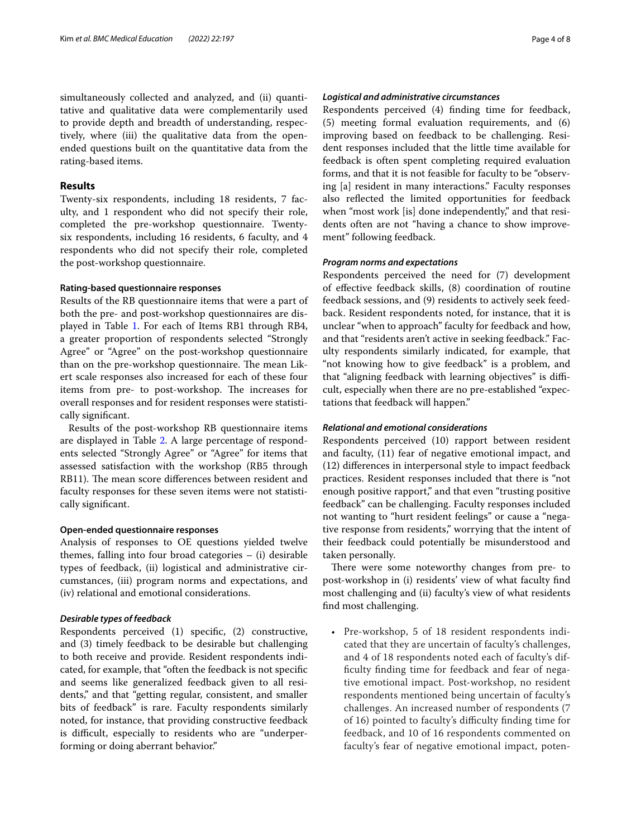simultaneously collected and analyzed, and (ii) quantitative and qualitative data were complementarily used to provide depth and breadth of understanding, respectively, where (iii) the qualitative data from the openended questions built on the quantitative data from the rating-based items.

# **Results**

Twenty-six respondents, including 18 residents, 7 faculty, and 1 respondent who did not specify their role, completed the pre-workshop questionnaire. Twentysix respondents, including 16 residents, 6 faculty, and 4 respondents who did not specify their role, completed the post-workshop questionnaire.

## **Rating‑based questionnaire responses**

Results of the RB questionnaire items that were a part of both the pre- and post-workshop questionnaires are displayed in Table [1.](#page-4-0) For each of Items RB1 through RB4, a greater proportion of respondents selected "Strongly Agree" or "Agree" on the post-workshop questionnaire than on the pre-workshop questionnaire. The mean Likert scale responses also increased for each of these four items from pre- to post-workshop. The increases for overall responses and for resident responses were statistically signifcant.

Results of the post-workshop RB questionnaire items are displayed in Table [2.](#page-5-0) A large percentage of respondents selected "Strongly Agree" or "Agree" for items that assessed satisfaction with the workshop (RB5 through RB11). The mean score differences between resident and faculty responses for these seven items were not statistically signifcant.

#### **Open‑ended questionnaire responses**

Analysis of responses to OE questions yielded twelve themes, falling into four broad categories – (i) desirable types of feedback, (ii) logistical and administrative circumstances, (iii) program norms and expectations, and (iv) relational and emotional considerations.

## *Desirable types of feedback*

Respondents perceived (1) specifc, (2) constructive, and (3) timely feedback to be desirable but challenging to both receive and provide. Resident respondents indicated, for example, that "often the feedback is not specifc and seems like generalized feedback given to all residents," and that "getting regular, consistent, and smaller bits of feedback" is rare. Faculty respondents similarly noted, for instance, that providing constructive feedback is difficult, especially to residents who are "underperforming or doing aberrant behavior."

## *Logistical and administrative circumstances*

Respondents perceived (4) fnding time for feedback, (5) meeting formal evaluation requirements, and (6) improving based on feedback to be challenging. Resident responses included that the little time available for feedback is often spent completing required evaluation forms, and that it is not feasible for faculty to be "observing [a] resident in many interactions." Faculty responses also refected the limited opportunities for feedback when "most work [is] done independently," and that residents often are not "having a chance to show improvement" following feedback.

# *Program norms and expectations*

Respondents perceived the need for (7) development of efective feedback skills, (8) coordination of routine feedback sessions, and (9) residents to actively seek feedback. Resident respondents noted, for instance, that it is unclear "when to approach" faculty for feedback and how, and that "residents aren't active in seeking feedback." Faculty respondents similarly indicated, for example, that "not knowing how to give feedback" is a problem, and that "aligning feedback with learning objectives" is difficult, especially when there are no pre-established "expectations that feedback will happen."

# *Relational and emotional considerations*

Respondents perceived (10) rapport between resident and faculty, (11) fear of negative emotional impact, and (12) diferences in interpersonal style to impact feedback practices. Resident responses included that there is "not enough positive rapport," and that even "trusting positive feedback" can be challenging. Faculty responses included not wanting to "hurt resident feelings" or cause a "negative response from residents," worrying that the intent of their feedback could potentially be misunderstood and taken personally.

There were some noteworthy changes from pre- to post-workshop in (i) residents' view of what faculty fnd most challenging and (ii) faculty's view of what residents fnd most challenging.

• Pre-workshop, 5 of 18 resident respondents indicated that they are uncertain of faculty's challenges, and 4 of 18 respondents noted each of faculty's diffculty fnding time for feedback and fear of negative emotional impact. Post-workshop, no resident respondents mentioned being uncertain of faculty's challenges. An increased number of respondents (7 of 16) pointed to faculty's difficulty finding time for feedback, and 10 of 16 respondents commented on faculty's fear of negative emotional impact, poten-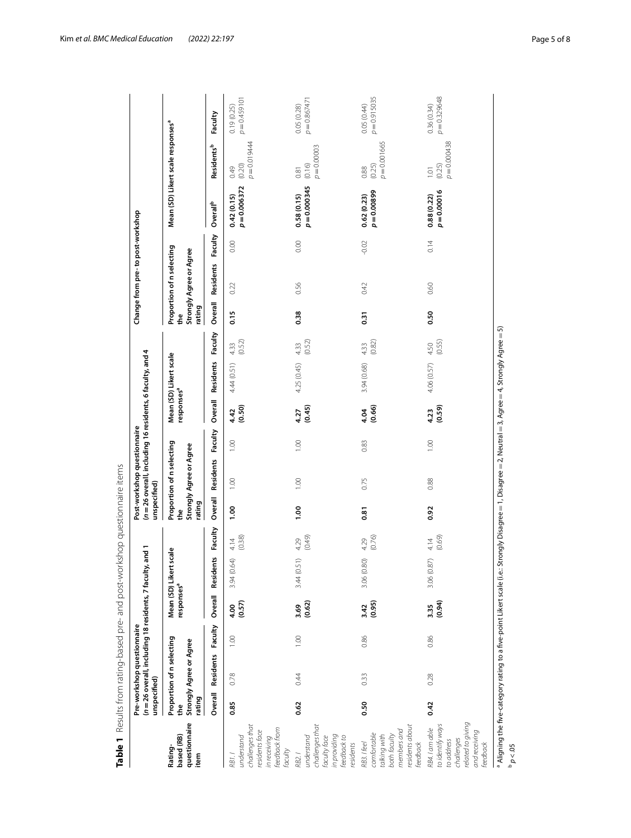|                                                                                                                  | unspecified)  | (n = 26 overall, including 18 residents, 7 facu<br>Pre-workshop questionnaire |         |                             | lty, and 1       |                | unspecified)     | (n = 26 overall, including 16 residents, 6 faculty, and 4<br>Post-workshop questionnaire |         |                  |                        |                |                    | Change from pre- to post-workshop                    |         |                              |                                                |                               |
|------------------------------------------------------------------------------------------------------------------|---------------|-------------------------------------------------------------------------------|---------|-----------------------------|------------------|----------------|------------------|------------------------------------------------------------------------------------------|---------|------------------|------------------------|----------------|--------------------|------------------------------------------------------|---------|------------------------------|------------------------------------------------|-------------------------------|
| questionnaire<br>based (RB)<br>Rating-<br>item                                                                   | rating<br>the | Proportion of n selecting<br>Strongly Agree or Agree                          |         | Mean (SD) Lik<br>responsesª | ert scale        |                | rating<br>the    | Proportion of n selecting<br>Strongly Agree or Agree                                     |         | responsesª       | Mean (SD) Likert scale |                | rating<br>e<br>the | Proportion of n selecting<br>Strongly Agree or Agree |         |                              | Mean (SD) Likert scale responses <sup>ª</sup>  |                               |
|                                                                                                                  | Overall       | <b>Residents</b>                                                              | Faculty | Overall                     | <b>Residents</b> | Faculty        | Overall          | <b>Residents</b>                                                                         | Faculty | Overall          | <b>Residents</b>       | Faculty        | Overall            | <b>Residents</b>                                     | Faculty | Overall <sup>b</sup>         | <b>Residents</b> <sup>b</sup>                  | Faculty                       |
| challenges that<br>feedback from<br>residents face<br>understand<br>in receiving<br>faculty<br>RB1.1             | 0.85          | 0.78                                                                          | 1.00    | (0.57)<br>4.00              | (0.64)<br>3.94   | (0.38)<br>4.14 | $\frac{8}{1.00}$ | 1.00                                                                                     | 1.00    | $4.42$<br>(0.50) | 4.44 (0.51)            | (0.52)<br>4.33 | 0.15               | 0.22                                                 | 0.00    | $p = 0.006372$<br>0.42(0.15) | $p = 0.019444$<br>(0.20)<br>0.49               | $p = 0.459101$<br>0.19(0.25)  |
| challenges that<br>in providing<br>feedback to<br>understand<br>faculty face<br>esidents<br>RB2.1                | 0.62          | 0.44                                                                          | 1.00    | (0.62)<br>3.69              | (0.51)<br>3.44   | (0.49)<br>4.29 | $\frac{8}{1}$    | 1,00                                                                                     | 1.00    | (0.45)<br>4.27   | 4.25 (0.45)            | (0.52)<br>433  | 0.38               | 0.56                                                 | 0.00    | $p = 0.000345$<br>0.58(0.15) | $p = 0.00003$<br>(0.16)<br>0.81                | $p = 0.86747$<br>0.05(0.28)   |
| residents about<br>members and<br>comfortable<br>talking with<br>both faculty<br>RB3. I feel<br><b>feedback</b>  | 0.50          | 0.33                                                                          | 0.86    | (0.95)<br>3.42              | (0.80)<br>3.06   | (0.76)<br>4.29 | 0.81             | 0.75                                                                                     | 0.83    | (0.66)<br>4.04   | 3.94 (0.68)            | (0.82)<br>4.33 | 0.31               | 0.42                                                 | $-0.02$ | $p = 0.00899$<br>0.62(0.23)  | $p = 0.001665$<br>(0.25)<br>0.88               | $p = 0.915035$<br>0.05 (0.44) |
| related to giving<br>to identify ways<br>RB4. I am able<br>and receiving<br>challenges<br>to address<br>feedback | 0.42          | 0.28                                                                          | 0.86    | (0.94)<br>3.35              | (0.87)<br>3.06   | (0.69)<br>4.14 | 0.92             | 0.88                                                                                     | 1.00    | (0.59)<br>4.23   | 4.06 (0.57)            | (0.55)<br>4.50 | 0.50               | 0.60                                                 | 0.14    | $p = 0.00016$<br>0.88(0.22)  | $p = 0.000438$<br>(0.25)<br>$\overline{1}$ .01 | $p = 0.329648$<br>0.36(0.34)  |

<span id="page-4-0"></span>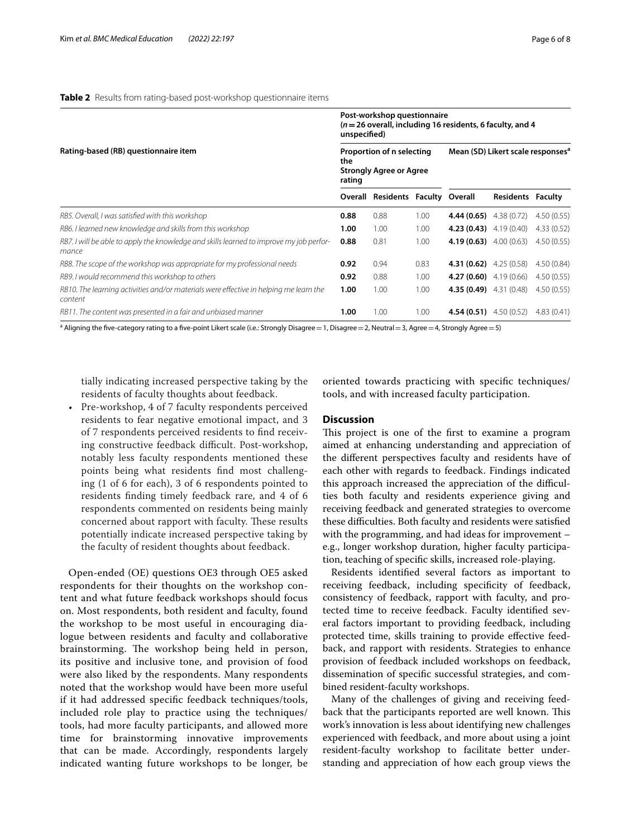#### <span id="page-5-0"></span>**Table 2** Results from rating-based post-workshop questionnaire items

|                                                                                                  | Post-workshop questionnaire<br>$(n=26$ overall, including 16 residents, 6 faculty, and 4<br>unspecified) |                                                             |      |                                               |                          |            |  |
|--------------------------------------------------------------------------------------------------|----------------------------------------------------------------------------------------------------------|-------------------------------------------------------------|------|-----------------------------------------------|--------------------------|------------|--|
| Rating-based (RB) questionnaire item                                                             | the<br>rating                                                                                            | Proportion of n selecting<br><b>Strongly Agree or Agree</b> |      | Mean (SD) Likert scale responses <sup>a</sup> |                          |            |  |
|                                                                                                  |                                                                                                          | Overall Residents Faculty Overall                           |      |                                               | <b>Residents Faculty</b> |            |  |
| RB5. Overall, I was satisfied with this workshop                                                 | 0.88                                                                                                     | 0.88                                                        | 1.00 | <b>4.44 (0.65)</b> 4.38 (0.72)                |                          | 4.50(0.55) |  |
| RB6. I learned new knowledge and skills from this workshop                                       | 1.00                                                                                                     | 1.00                                                        | 1.00 | <b>4.23 (0.43)</b> $4.19(0.40)$               |                          | 4.33(0.52) |  |
| RB7. I will be able to apply the knowledge and skills learned to improve my job perfor-<br>mance | 0.88                                                                                                     | 0.81                                                        | 1.00 | <b>4.19 (0.63)</b> $4.00(0.63)$               |                          | 4.50(0.55) |  |
| RB8. The scope of the workshop was appropriate for my professional needs                         | 0.92                                                                                                     | 0.94                                                        | 0.83 | <b>4.31 (0.62)</b> $4.25(0.58)$               |                          | 4.50(0.84) |  |
| RB9. I would recommend this workshop to others                                                   | 0.92                                                                                                     | 0.88                                                        | 1.00 | <b>4.27 (0.60)</b> 4.19 (0.66)                |                          | 4.50(0.55) |  |
| RB10. The learning activities and/or materials were effective in helping me learn the<br>content | 1.00                                                                                                     | 1.00                                                        | 1.00 | <b>4.35 (0.49)</b> $4.31(0.48)$               |                          | 4.50(0.55) |  |
| RB11. The content was presented in a fair and unbiased manner                                    | 1.00                                                                                                     | 1.00                                                        | 1.00 | <b>4.54 (0.51)</b> $4.50(0.52)$               |                          | 4.83(0.41) |  |

<sup>a</sup> Aligning the five-category rating to a five-point Likert scale (i.e.: Strongly Disagree = 1, Disagree = 2, Neutral = 3, Agree = 4, Strongly Agree = 5)

tially indicating increased perspective taking by the residents of faculty thoughts about feedback.

• Pre-workshop, 4 of 7 faculty respondents perceived residents to fear negative emotional impact, and 3 of 7 respondents perceived residents to fnd receiving constructive feedback difficult. Post-workshop, notably less faculty respondents mentioned these points being what residents fnd most challenging (1 of 6 for each), 3 of 6 respondents pointed to residents fnding timely feedback rare, and 4 of 6 respondents commented on residents being mainly concerned about rapport with faculty. These results potentially indicate increased perspective taking by the faculty of resident thoughts about feedback.

Open-ended (OE) questions OE3 through OE5 asked respondents for their thoughts on the workshop content and what future feedback workshops should focus on. Most respondents, both resident and faculty, found the workshop to be most useful in encouraging dialogue between residents and faculty and collaborative brainstorming. The workshop being held in person, its positive and inclusive tone, and provision of food were also liked by the respondents. Many respondents noted that the workshop would have been more useful if it had addressed specifc feedback techniques/tools, included role play to practice using the techniques/ tools, had more faculty participants, and allowed more time for brainstorming innovative improvements that can be made. Accordingly, respondents largely indicated wanting future workshops to be longer, be

oriented towards practicing with specifc techniques/ tools, and with increased faculty participation.

# **Discussion**

This project is one of the first to examine a program aimed at enhancing understanding and appreciation of the diferent perspectives faculty and residents have of each other with regards to feedback. Findings indicated this approach increased the appreciation of the difficulties both faculty and residents experience giving and receiving feedback and generated strategies to overcome these difficulties. Both faculty and residents were satisfied with the programming, and had ideas for improvement – e.g., longer workshop duration, higher faculty participation, teaching of specifc skills, increased role-playing.

Residents identifed several factors as important to receiving feedback, including specifcity of feedback, consistency of feedback, rapport with faculty, and protected time to receive feedback. Faculty identifed several factors important to providing feedback, including protected time, skills training to provide effective feedback, and rapport with residents. Strategies to enhance provision of feedback included workshops on feedback, dissemination of specifc successful strategies, and combined resident-faculty workshops.

Many of the challenges of giving and receiving feedback that the participants reported are well known. This work's innovation is less about identifying new challenges experienced with feedback, and more about using a joint resident-faculty workshop to facilitate better understanding and appreciation of how each group views the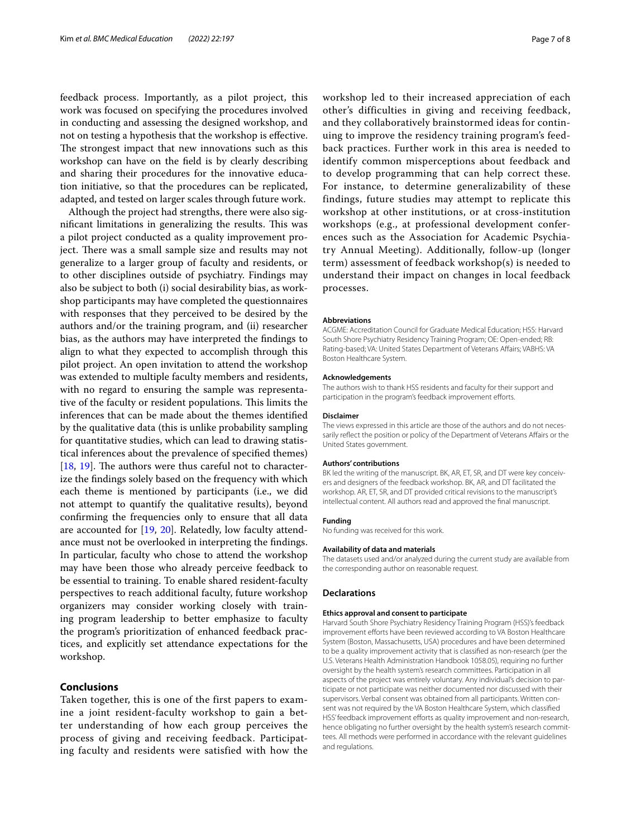feedback process. Importantly, as a pilot project, this work was focused on specifying the procedures involved in conducting and assessing the designed workshop, and not on testing a hypothesis that the workshop is efective. The strongest impact that new innovations such as this workshop can have on the feld is by clearly describing and sharing their procedures for the innovative education initiative, so that the procedures can be replicated, adapted, and tested on larger scales through future work.

Although the project had strengths, there were also significant limitations in generalizing the results. This was a pilot project conducted as a quality improvement project. There was a small sample size and results may not generalize to a larger group of faculty and residents, or to other disciplines outside of psychiatry. Findings may also be subject to both (i) social desirability bias, as workshop participants may have completed the questionnaires with responses that they perceived to be desired by the authors and/or the training program, and (ii) researcher bias, as the authors may have interpreted the fndings to align to what they expected to accomplish through this pilot project. An open invitation to attend the workshop was extended to multiple faculty members and residents, with no regard to ensuring the sample was representative of the faculty or resident populations. This limits the inferences that can be made about the themes identifed by the qualitative data (this is unlike probability sampling for quantitative studies, which can lead to drawing statistical inferences about the prevalence of specifed themes) [[18,](#page-7-16) [19\]](#page-7-17). The authors were thus careful not to characterize the fndings solely based on the frequency with which each theme is mentioned by participants (i.e., we did not attempt to quantify the qualitative results), beyond confrming the frequencies only to ensure that all data are accounted for [\[19,](#page-7-17) [20](#page-7-18)]. Relatedly, low faculty attendance must not be overlooked in interpreting the fndings. In particular, faculty who chose to attend the workshop may have been those who already perceive feedback to be essential to training. To enable shared resident-faculty perspectives to reach additional faculty, future workshop organizers may consider working closely with training program leadership to better emphasize to faculty the program's prioritization of enhanced feedback practices, and explicitly set attendance expectations for the workshop.

# **Conclusions**

Taken together, this is one of the first papers to examine a joint resident-faculty workshop to gain a better understanding of how each group perceives the process of giving and receiving feedback. Participating faculty and residents were satisfied with how the

workshop led to their increased appreciation of each other's difficulties in giving and receiving feedback, and they collaboratively brainstormed ideas for continuing to improve the residency training program's feedback practices. Further work in this area is needed to identify common misperceptions about feedback and to develop programming that can help correct these. For instance, to determine generalizability of these findings, future studies may attempt to replicate this workshop at other institutions, or at cross-institution workshops (e.g., at professional development conferences such as the Association for Academic Psychiatry Annual Meeting). Additionally, follow-up (longer term) assessment of feedback workshop(s) is needed to understand their impact on changes in local feedback processes.

#### **Abbreviations**

ACGME: Accreditation Council for Graduate Medical Education; HSS: Harvard South Shore Psychiatry Residency Training Program; OE: Open-ended; RB: Rating-based; VA: United States Department of Veterans Afairs; VABHS: VA Boston Healthcare System.

#### **Acknowledgements**

The authors wish to thank HSS residents and faculty for their support and participation in the program's feedback improvement efforts.

#### **Disclaimer**

The views expressed in this article are those of the authors and do not necessarily reflect the position or policy of the Department of Veterans Affairs or the United States government.

#### **Authors' contributions**

BK led the writing of the manuscript. BK, AR, ET, SR, and DT were key conceivers and designers of the feedback workshop. BK, AR, and DT facilitated the workshop. AR, ET, SR, and DT provided critical revisions to the manuscript's intellectual content. All authors read and approved the fnal manuscript.

#### **Funding**

No funding was received for this work.

#### **Availability of data and materials**

The datasets used and/or analyzed during the current study are available from the corresponding author on reasonable request.

## **Declarations**

#### **Ethics approval and consent to participate**

Harvard South Shore Psychiatry Residency Training Program (HSS)'s feedback improvement efforts have been reviewed according to VA Boston Healthcare System (Boston, Massachusetts, USA) procedures and have been determined to be a quality improvement activity that is classifed as non-research (per the U.S. Veterans Health Administration Handbook 1058.05), requiring no further oversight by the health system's research committees. Participation in all aspects of the project was entirely voluntary. Any individual's decision to participate or not participate was neither documented nor discussed with their supervisors. Verbal consent was obtained from all participants. Written consent was not required by the VA Boston Healthcare System, which classifed HSS' feedback improvement efforts as quality improvement and non-research, hence obligating no further oversight by the health system's research committees. All methods were performed in accordance with the relevant guidelines and regulations.